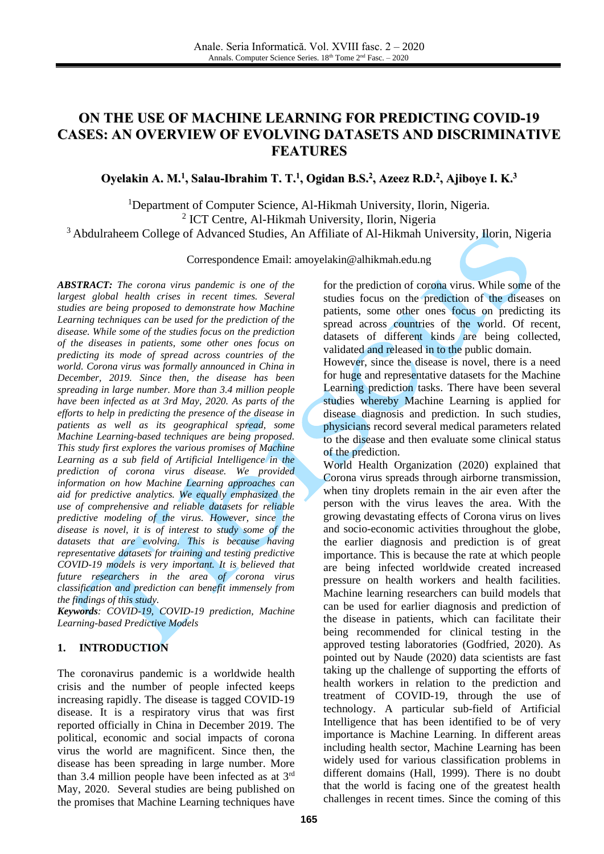# **ON THE USE OF MACHINE LEARNING FOR PREDICTING COVID-19 CASES: AN OVERVIEW OF EVOLVING DATASETS AND DISCRIMINATIVE FEATURES**

### Oyelakin A. M.<sup>1</sup>, Salau-Ibrahim T. T.<sup>1</sup>, Ogidan B.S.<sup>2</sup>, Azeez R.D.<sup>2</sup>, Ajiboye I. K.<sup>3</sup>

<sup>1</sup>Department of Computer Science, Al-Hikmah University, Ilorin, Nigeria. 2 ICT Centre, Al-Hikmah University, Ilorin, Nigeria <sup>3</sup> Abdulraheem College of Advanced Studies, An Affiliate of Al-Hikmah University, Ilorin, Nigeria

Correspondence Email: [amoyelakin@alhikmah.edu.ng](mailto:amoyelakin@alhikmah.edu.ng)

*ABSTRACT: The corona virus pandemic is one of the largest global health crises in recent times. Several studies are being proposed to demonstrate how Machine Learning techniques can be used for the prediction of the disease. While some of the studies focus on the prediction of the diseases in patients, some other ones focus on predicting its mode of spread across countries of the world. Corona virus was formally announced in China in December, 2019. Since then, the disease has been spreading in large number. More than 3.4 million people have been infected as at 3rd May, 2020. As parts of the efforts to help in predicting the presence of the disease in patients as well as its geographical spread, some Machine Learning-based techniques are being proposed. This study first explores the various promises of Machine Learning as a sub field of Artificial Intelligence in the prediction of corona virus disease. We provided information on how Machine Learning approaches can aid for predictive analytics. We equally emphasized the use of comprehensive and reliable datasets for reliable predictive modeling of the virus. However, since the disease is novel, it is of interest to study some of the datasets that are evolving. This is because having representative datasets for training and testing predictive COVID-19 models is very important. It is believed that future researchers in the area of corona virus classification and prediction can benefit immensely from the findings of this study.*

*Keywords: COVID-19, COVID-19 prediction, Machine Learning-based Predictive Models*

#### **1. INTRODUCTION**

The coronavirus pandemic is a worldwide health crisis and the number of people infected keeps increasing rapidly. The disease is tagged COVID-19 disease. It is a respiratory virus that was first reported officially in China in December 2019. The political, economic and social impacts of corona virus the world are magnificent. Since then, the disease has been spreading in large number. More than 3.4 million people have been infected as at  $3<sup>rd</sup>$ May, 2020. Several studies are being published on the promises that Machine Learning techniques have

for the prediction of corona virus. While some of the studies focus on the prediction of the diseases on patients, some other ones focus on predicting its spread across countries of the world. Of recent, datasets of different kinds are being collected, validated and released in to the public domain.

However, since the disease is novel, there is a need for huge and representative datasets for the Machine Learning prediction tasks. There have been several studies whereby Machine Learning is applied for disease diagnosis and prediction. In such studies, physicians record several medical parameters related to the disease and then evaluate some clinical status of the prediction.

World Health Organization (2020) explained that Corona virus spreads through airborne transmission, when tiny droplets remain in the air even after the person with the virus leaves the area. With the growing devastating effects of Corona virus on lives and socio-economic activities throughout the globe, the earlier diagnosis and prediction is of great importance. This is because the rate at which people are being infected worldwide created increased pressure on health workers and health facilities. Machine learning researchers can build models that can be used for earlier diagnosis and prediction of the disease in patients, which can facilitate their being recommended for clinical testing in the approved testing laboratories (Godfried, 2020). As pointed out by Naude (2020) data scientists are fast taking up the challenge of supporting the efforts of health workers in relation to the prediction and treatment of COVID-19, through the use of technology. A particular sub-field of Artificial Intelligence that has been identified to be of very importance is Machine Learning. In different areas including health sector, Machine Learning has been widely used for various classification problems in different domains (Hall, 1999). There is no doubt that the world is facing one of the greatest health challenges in recent times. Since the coming of this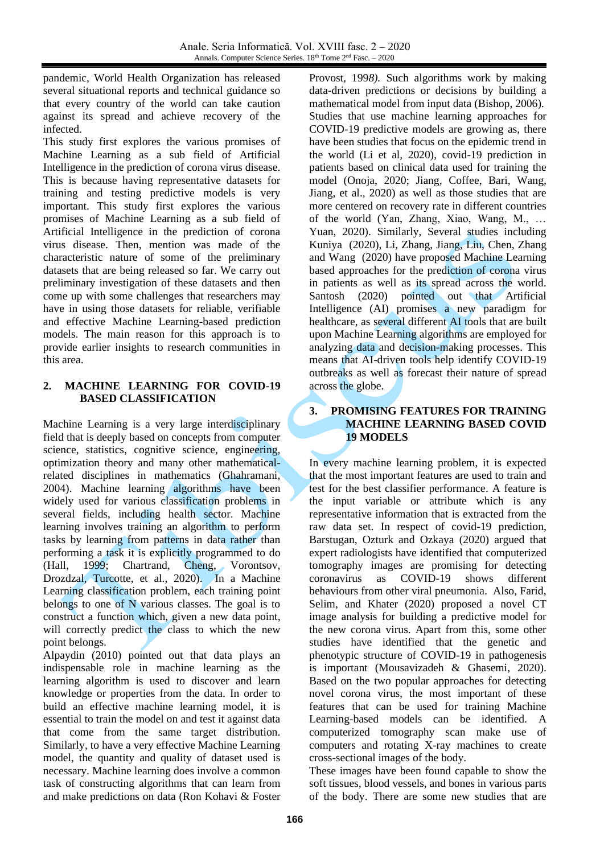pandemic, World Health Organization has released several situational reports and technical guidance so that every country of the world can take caution against its spread and achieve recovery of the infected.

This study first explores the various promises of Machine Learning as a sub field of Artificial Intelligence in the prediction of corona virus disease. This is because having representative datasets for training and testing predictive models is very important. This study first explores the various promises of Machine Learning as a sub field of Artificial Intelligence in the prediction of corona virus disease. Then, mention was made of the characteristic nature of some of the preliminary datasets that are being released so far. We carry out preliminary investigation of these datasets and then come up with some challenges that researchers may have in using those datasets for reliable, verifiable and effective Machine Learning-based prediction models. The main reason for this approach is to provide earlier insights to research communities in this area.

### **2. MACHINE LEARNING FOR COVID-19 BASED CLASSIFICATION**

Machine Learning is a very large interdisciplinary field that is deeply based on concepts from computer science, statistics, cognitive science, engineering, optimization theory and many other mathematicalrelated disciplines in mathematics (Ghahramani, 2004). Machine learning algorithms have been widely used for various classification problems in several fields, including health sector. Machine learning involves training an algorithm to perform tasks by learning from patterns in data rather than performing a task it is explicitly programmed to do (Hall, 1999; Chartrand, Cheng, Vorontsov, Drozdzal, Turcotte, et al., 2020). In a Machine Learning classification problem, each training point belongs to one of N various classes. The goal is to construct a function which, given a new data point, will correctly predict the class to which the new point belongs.

Alpaydin (2010) pointed out that data plays an indispensable role in machine learning as the learning algorithm is used to discover and learn knowledge or properties from the data. In order to build an effective machine learning model, it is essential to train the model on and test it against data that come from the same target distribution. Similarly, to have a very effective Machine Learning model, the quantity and quality of dataset used is necessary. [Machine learning](https://en.wikipedia.org/wiki/Machine_learning) does involve a common task of constructing [algorithms](https://en.wikipedia.org/wiki/Algorithm) that can learn from and make predictions on [data](https://en.wikipedia.org/wiki/Data) (Ron Kohavi & Foster Provost, 199*8).* Such algorithms work by making data-driven predictions or decisions by building a [mathematical model](https://en.wikipedia.org/wiki/Mathematical_model) from input data (Bishop, 2006). Studies that use machine learning approaches for COVID-19 predictive models are growing as, there have been studies that focus on the epidemic trend in the world (Li et al, 2020), covid-19 prediction in patients based on clinical data used for training the model (Onoja, 2020; Jiang, Coffee, Bari, Wang, Jiang, et al., 2020) as well as those studies that are more centered on recovery rate in different countries of the world (Yan, Zhang, Xiao, Wang, M., … Yuan, 2020). Similarly, Several studies including Kuniya (2020), Li, Zhang, Jiang, Liu, Chen, Zhang and Wang (2020) have proposed Machine Learning based approaches for the prediction of corona virus in patients as well as its spread across the world. Santosh (2020) pointed out that Artificial Intelligence (AI) promises a new paradigm for healthcare, as several different AI tools that are built upon Machine Learning algorithms are employed for analyzing data and decision-making processes. This means that AI-driven tools help identify COVID-19 outbreaks as well as forecast their nature of spread across the globe.

### **3. PROMISING FEATURES FOR TRAINING MACHINE LEARNING BASED COVID 19 MODELS**

In every machine learning problem, it is expected that the most important features are used to train and test for the best classifier performance. A feature is the input variable or attribute which is any representative information that is extracted from the raw data set. In respect of covid-19 prediction, Barstugan, Ozturk and Ozkaya (2020) argued that expert radiologists have identified that computerized tomography images are promising for detecting coronavirus as COVID-19 shows different behaviours from other viral pneumonia. Also, Farid, Selim, and Khater (2020) proposed a novel CT image analysis for building a predictive model for the new corona virus. Apart from this, some other studies have identified that the genetic and phenotypic structure of COVID-19 in pathogenesis is important (Mousavizadeh & Ghasemi, 2020). Based on the two popular approaches for detecting novel corona virus, the most important of these features that can be used for training Machine Learning-based models can be identified. A computerized tomography scan make use of computers and rotating X-ray machines to create cross-sectional images of the body.

These images have been found capable to show the soft tissues, blood vessels, and bones in various parts of the body. There are some new studies that are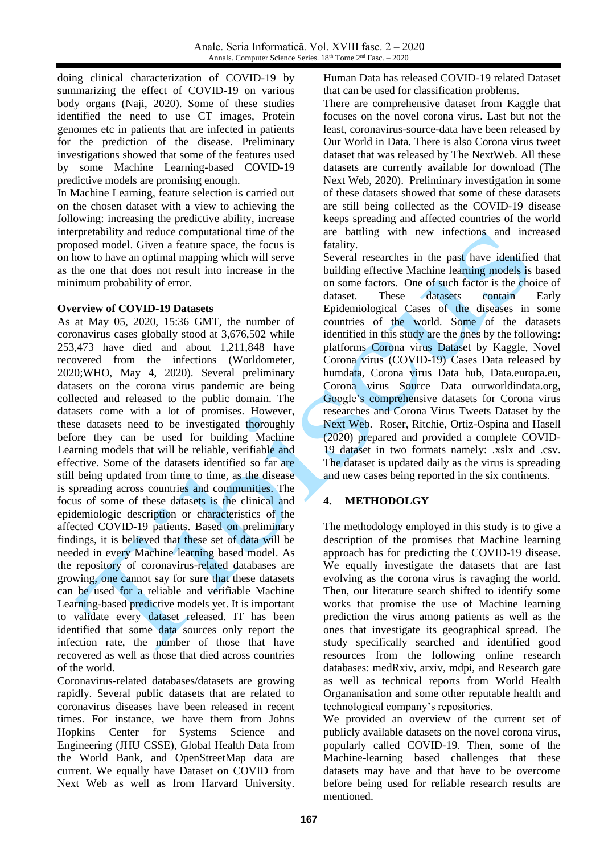doing clinical characterization of COVID-19 by summarizing the effect of COVID-19 on various body organs (Naji, 2020). Some of these studies identified the need to use CT images, Protein genomes etc in patients that are infected in patients for the prediction of the disease. Preliminary investigations showed that some of the features used by some Machine Learning-based COVID-19 predictive models are promising enough.

In Machine Learning, feature selection is carried out on the chosen dataset with a view to achieving the following: increasing the predictive ability, increase interpretability and reduce computational time of the proposed model. Given a feature space, the focus is on how to have an optimal mapping which will serve as the one that does not result into increase in the minimum probability of error.

### **Overview of COVID-19 Datasets**

As at May 05, 2020, 15:36 GMT, the number of coronavirus cases globally stood at 3,676,502 while 253,473 have died and about 1,211,848 have recovered from the infections (Worldometer, 2020;WHO, May 4, 2020). Several preliminary datasets on the corona virus pandemic are being collected and released to the public domain. The datasets come with a lot of promises. However, these datasets need to be investigated thoroughly before they can be used for building Machine Learning models that will be reliable, verifiable and effective. Some of the datasets identified so far are still being updated from time to time, as the disease is spreading across countries and communities. The focus of some of these datasets is the clinical and epidemiologic description or characteristics of the affected COVID-19 patients. Based on preliminary findings, it is believed that these set of data will be needed in every Machine learning based model. As the repository of coronavirus-related databases are growing, one cannot say for sure that these datasets can be used for a reliable and verifiable Machine Learning-based predictive models yet. It is important to validate every dataset released. IT has been identified that some data sources only report the infection rate, the number of those that have recovered as well as those that died across countries of the world.

Coronavirus-related databases/datasets are growing rapidly. Several public datasets that are related to coronavirus diseases have been released in recent times. For instance, we have them from Johns Hopkins Center for Systems Science and Engineering (JHU CSSE), Global Health Data from the World Bank, and OpenStreetMap data are current. We equally have Dataset on COVID from Next Web as well as from Harvard University. Human Data has released COVID-19 related Dataset that can be used for classification problems.

There are comprehensive dataset from Kaggle that focuses on the novel corona virus. Last but not the least, coronavirus-source-data have been released by Our World in Data. There is also Corona virus tweet dataset that was released by The NextWeb. All these datasets are currently available for download (The Next Web, 2020). Preliminary investigation in some of these datasets showed that some of these datasets are still being collected as the COVID-19 disease keeps spreading and affected countries of the world are battling with new infections and increased fatality.

Several researches in the past have identified that building effective Machine learning models is based on some factors. One of such factor is the choice of dataset. These datasets contain Early Epidemiological Cases of the diseases in some countries of the world. Some of the datasets identified in this study are the ones by the following: platforms Corona virus Dataset by Kaggle, Novel Corona virus (COVID-19) Cases Data released by humdata, Corona virus Data hub, Data.europa.eu, Corona virus Source Data ourworldindata.org, Google's comprehensive datasets for Corona virus researches and Corona Virus Tweets Dataset by the Next Web. Roser, Ritchie, Ortiz-Ospina and Hasell (2020) prepared and provided a complete COVID-19 dataset in two formats namely: .xslx and .csv. The dataset is updated daily as the virus is spreading and new cases being reported in the six continents.

# **4. METHODOLGY**

The methodology employed in this study is to give a description of the promises that Machine learning approach has for predicting the COVID-19 disease. We equally investigate the datasets that are fast evolving as the corona virus is ravaging the world. Then, our literature search shifted to identify some works that promise the use of Machine learning prediction the virus among patients as well as the ones that investigate its geographical spread. The study specifically searched and identified good resources from the following online research databases: medRxiv, arxiv, mdpi, and Research gate as well as technical reports from World Health Organanisation and some other reputable health and technological company's repositories.

We provided an overview of the current set of publicly available datasets on the novel corona virus, popularly called COVID-19. Then, some of the Machine-learning based challenges that these datasets may have and that have to be overcome before being used for reliable research results are mentioned.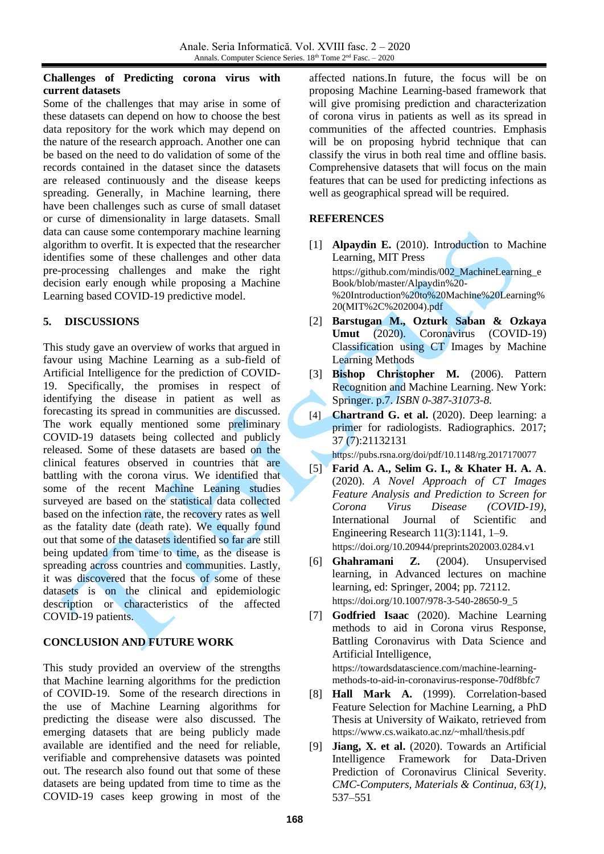#### **Challenges of Predicting corona virus with current datasets**

Some of the challenges that may arise in some of these datasets can depend on how to choose the best data repository for the work which may depend on the nature of the research approach. Another one can be based on the need to do validation of some of the records contained in the dataset since the datasets are released continuously and the disease keeps spreading. Generally, in Machine learning, there have been challenges such as curse of small dataset or curse of dimensionality in large datasets. Small data can cause some contemporary machine learning algorithm to overfit. It is expected that the researcher identifies some of these challenges and other data pre-processing challenges and make the right decision early enough while proposing a Machine Learning based COVID-19 predictive model.

## **5. DISCUSSIONS**

This study gave an overview of works that argued in favour using Machine Learning as a sub-field of Artificial Intelligence for the prediction of COVID-19. Specifically, the promises in respect of identifying the disease in patient as well as forecasting its spread in communities are discussed. The work equally mentioned some preliminary COVID-19 datasets being collected and publicly released. Some of these datasets are based on the clinical features observed in countries that are battling with the corona virus. We identified that some of the recent Machine Leaning studies surveyed are based on the statistical data collected based on the infection rate, the recovery rates as well as the fatality date (death rate). We equally found out that some of the datasets identified so far are still being updated from time to time, as the disease is spreading across countries and communities. Lastly, it was discovered that the focus of some of these datasets is on the clinical and epidemiologic description or characteristics of the affected COVID-19 patients.

### **CONCLUSION AND FUTURE WORK**

This study provided an overview of the strengths that Machine learning algorithms for the prediction of COVID-19. Some of the research directions in the use of Machine Learning algorithms for predicting the disease were also discussed. The emerging datasets that are being publicly made available are identified and the need for reliable, verifiable and comprehensive datasets was pointed out. The research also found out that some of these datasets are being updated from time to time as the COVID-19 cases keep growing in most of the

affected nations.In future, the focus will be on proposing Machine Learning-based framework that will give promising prediction and characterization of corona virus in patients as well as its spread in communities of the affected countries. Emphasis will be on proposing hybrid technique that can classify the virus in both real time and offline basis. Comprehensive datasets that will focus on the main features that can be used for predicting infections as well as geographical spread will be required.

## **REFERENCES**

- [1] **Alpaydin E.** (2010). Introduction to Machine Learning, MIT Press [https://github.com/mindis/002\\_MachineLearning\\_e](https://github.com/mindis/002_MachineLearning_eBook/blob/master/Alpaydin%20-%20Introduction%20to%20Machine%20Learning%20(MIT%2C%202004).pdf) [Book/blob/master/Alpaydin%20-](https://github.com/mindis/002_MachineLearning_eBook/blob/master/Alpaydin%20-%20Introduction%20to%20Machine%20Learning%20(MIT%2C%202004).pdf) [%20Introduction%20to%20Machine%20Learning%](https://github.com/mindis/002_MachineLearning_eBook/blob/master/Alpaydin%20-%20Introduction%20to%20Machine%20Learning%20(MIT%2C%202004).pdf) [20\(MIT%2C%202004\).pdf](https://github.com/mindis/002_MachineLearning_eBook/blob/master/Alpaydin%20-%20Introduction%20to%20Machine%20Learning%20(MIT%2C%202004).pdf)
- [2] **Barstugan M., Ozturk Saban & Ozkaya Umut** (2020). Coronavirus (COVID-19) Classification using CT Images by Machine Learning Methods
- [3] **Bishop Christopher M.** (2006). Pattern Recognition and Machine Learning. New York: Springer. p.7. *[ISBN](https://en.wikipedia.org/wiki/ISBN_(identifier)) [0-387-31073-8](https://en.wikipedia.org/wiki/Special:BookSources/0-387-31073-8)*.
- [4] **Chartrand G. et al.** (2020). Deep learning: a primer for radiologists. Radiographics. 2017; 37 (7):21132131

https://pubs.rsna.org/doi/pdf/10.1148/rg.2017170077

[5] **Farid A. A., Selim G. I., & Khater H. A. A**. (2020). *A Novel Approach of CT Images Feature Analysis and Prediction to Screen for Corona Virus Disease (COVID-19)*, International Journal of Scientific and Engineering Research 11(3):1141, 1–9. https://doi.org/10.20944/preprints202003.0284.v1

[6] **Ghahramani Z.** (2004). Unsupervised learning, in Advanced lectures on machine learning, ed: Springer, 2004; pp. 72112. https://doi.org/10.1007/978-3-540-28650-9\_5

[7] **Godfried Isaac** (2020). Machine Learning methods to aid in Corona virus Response, Battling Coronavirus with Data Science and Artificial Intelligence,

https://towardsdatascience.com/machine-learningmethods-to-aid-in-coronavirus-response-70df8bfc7

- [8] **Hall Mark A.** (1999). Correlation-based Feature Selection for Machine Learning, a PhD Thesis at University of Waikato, retrieved from <https://www.cs.waikato.ac.nz/~mhall/thesis.pdf>
- [9] **Jiang, X. et al.** (2020). Towards an Artificial Intelligence Framework for Data-Driven Prediction of Coronavirus Clinical Severity. *CMC-Computers, Materials & Continua, 63(1)*, 537–551